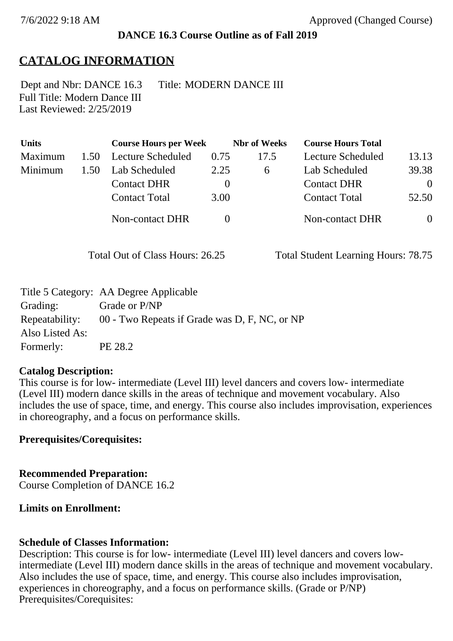## **DANCE 16.3 Course Outline as of Fall 2019**

# **CATALOG INFORMATION**

Full Title: Modern Dance III Last Reviewed: 2/25/2019 Dept and Nbr: DANCE 16.3 Title: MODERN DANCE III

| <b>Units</b> |      | <b>Course Hours per Week</b> |          | <b>Nbr</b> of Weeks | <b>Course Hours Total</b> |          |
|--------------|------|------------------------------|----------|---------------------|---------------------------|----------|
| Maximum      | 1.50 | Lecture Scheduled            | 0.75     | 17.5                | Lecture Scheduled         | 13.13    |
| Minimum      | 1.50 | Lab Scheduled                | 2.25     | 6                   | Lab Scheduled             | 39.38    |
|              |      | <b>Contact DHR</b>           | $\theta$ |                     | <b>Contact DHR</b>        | $\theta$ |
|              |      | <b>Contact Total</b>         | 3.00     |                     | <b>Contact Total</b>      | 52.50    |
|              |      | <b>Non-contact DHR</b>       |          |                     | <b>Non-contact DHR</b>    | $\theta$ |

Total Out of Class Hours: 26.25 Total Student Learning Hours: 78.75

|                 | Title 5 Category: AA Degree Applicable        |
|-----------------|-----------------------------------------------|
| Grading:        | Grade or P/NP                                 |
| Repeatability:  | 00 - Two Repeats if Grade was D, F, NC, or NP |
| Also Listed As: |                                               |
| Formerly:       | PE 28.2                                       |

## **Catalog Description:**

This course is for low- intermediate (Level III) level dancers and covers low- intermediate (Level III) modern dance skills in the areas of technique and movement vocabulary. Also includes the use of space, time, and energy. This course also includes improvisation, experiences in choreography, and a focus on performance skills.

## **Prerequisites/Corequisites:**

**Recommended Preparation:** Course Completion of DANCE 16.2

# **Limits on Enrollment:**

# **Schedule of Classes Information:**

Description: This course is for low- intermediate (Level III) level dancers and covers lowintermediate (Level III) modern dance skills in the areas of technique and movement vocabulary. Also includes the use of space, time, and energy. This course also includes improvisation, experiences in choreography, and a focus on performance skills. (Grade or P/NP) Prerequisites/Corequisites: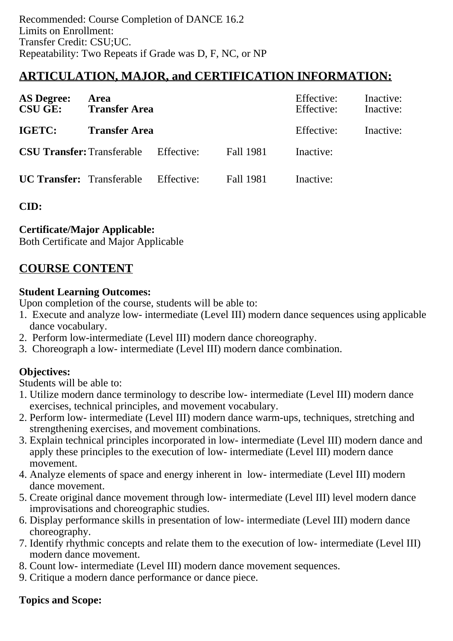## **ARTICULATION, MAJOR, and CERTIFICATION INFORMATION:**

| <b>AS Degree:</b><br>Area<br><b>CSU GE:</b><br><b>Transfer Area</b> |                                              |  |                  | Effective:<br>Effective: | Inactive:<br>Inactive: |
|---------------------------------------------------------------------|----------------------------------------------|--|------------------|--------------------------|------------------------|
| IGETC:                                                              | <b>Transfer Area</b>                         |  |                  | Effective:               | Inactive:              |
|                                                                     | <b>CSU Transfer:</b> Transferable Effective: |  | <b>Fall 1981</b> | Inactive:                |                        |
|                                                                     | <b>UC Transfer:</b> Transferable Effective:  |  | <b>Fall 1981</b> | Inactive:                |                        |

**CID:**

#### **Certificate/Major Applicable:**

[Both Certificate and Major Applicable](SR_ClassCheck.aspx?CourseKey=DANCE16.3)

## **COURSE CONTENT**

#### **Student Learning Outcomes:**

Upon completion of the course, students will be able to:

- 1. Execute and analyze low- intermediate (Level III) modern dance sequences using applicable dance vocabulary.
- 2. Perform low-intermediate (Level III) modern dance choreography.
- 3. Choreograph a low- intermediate (Level III) modern dance combination.

## **Objectives:**

Students will be able to:

- 1. Utilize modern dance terminology to describe low- intermediate (Level III) modern dance exercises, technical principles, and movement vocabulary.
- 2. Perform low- intermediate (Level III) modern dance warm-ups, techniques, stretching and strengthening exercises, and movement combinations.
- 3. Explain technical principles incorporated in low- intermediate (Level III) modern dance and apply these principles to the execution of low- intermediate (Level III) modern dance movement.
- 4. Analyze elements of space and energy inherent in low- intermediate (Level III) modern dance movement.
- 5. Create original dance movement through low- intermediate (Level III) level modern dance improvisations and choreographic studies.
- 6. Display performance skills in presentation of low- intermediate (Level III) modern dance choreography.
- 7. Identify rhythmic concepts and relate them to the execution of low- intermediate (Level III) modern dance movement.
- 8. Count low- intermediate (Level III) modern dance movement sequences.
- 9. Critique a modern dance performance or dance piece.

#### **Topics and Scope:**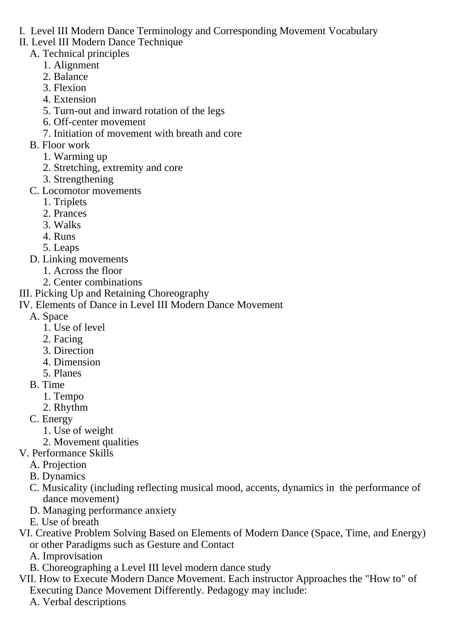- I. Level III Modern Dance Terminology and Corresponding Movement Vocabulary
- II. Level III Modern Dance Technique
	- A. Technical principles
		- 1. Alignment
		- 2. Balance
		- 3. Flexion
		- 4. Extension
		- 5. Turn-out and inward rotation of the legs
		- 6. Off-center movement
		- 7. Initiation of movement with breath and core
	- B. Floor work
		- 1. Warming up
		- 2. Stretching, extremity and core
		- 3. Strengthening
	- C. Locomotor movements
		- 1. Triplets
		- 2. Prances
		- 3. Walks
		- 4. Runs
		- 5. Leaps
	- D. Linking movements
		- 1. Across the floor
		- 2. Center combinations
- III. Picking Up and Retaining Choreography

#### IV. Elements of Dance in Level III Modern Dance Movement

- A. Space
	- 1. Use of level
	- 2. Facing
	- 3. Direction
	- 4. Dimension
	- 5. Planes
- B. Time
	- 1. Tempo
	- 2. Rhythm
- C. Energy
	- 1. Use of weight
	- 2. Movement qualities
- V. Performance Skills
	- A. Projection
	- B. Dynamics
	- C. Musicality (including reflecting musical mood, accents, dynamics in the performance of dance movement)
	- D. Managing performance anxiety
	- E. Use of breath
- VI. Creative Problem Solving Based on Elements of Modern Dance (Space, Time, and Energy) or other Paradigms such as Gesture and Contact
	- A. Improvisation
	- B. Choreographing a Level III level modern dance study
- VII. How to Execute Modern Dance Movement. Each instructor Approaches the "How to" of Executing Dance Movement Differently. Pedagogy may include:
	- A. Verbal descriptions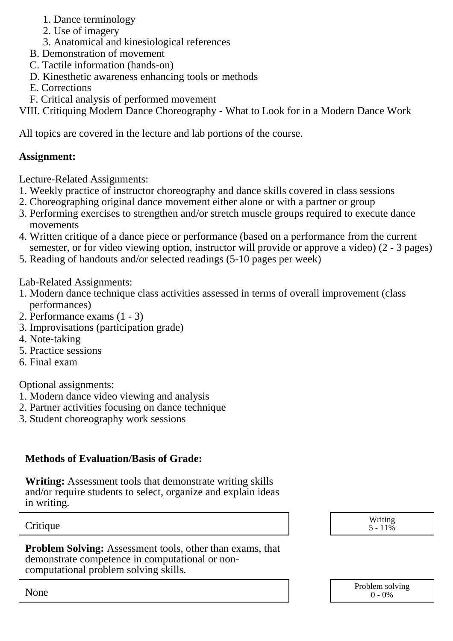- 1. Dance terminology
- 2. Use of imagery
- 3. Anatomical and kinesiological references
- B. Demonstration of movement
- C. Tactile information (hands-on)
- D. Kinesthetic awareness enhancing tools or methods
- E. Corrections
- F. Critical analysis of performed movement

VIII. Critiquing Modern Dance Choreography - What to Look for in a Modern Dance Work

All topics are covered in the lecture and lab portions of the course.

## **Assignment:**

Lecture-Related Assignments:

- 1. Weekly practice of instructor choreography and dance skills covered in class sessions
- 2. Choreographing original dance movement either alone or with a partner or group
- 3. Performing exercises to strengthen and/or stretch muscle groups required to execute dance movements
- 4. Written critique of a dance piece or performance (based on a performance from the current semester, or for video viewing option, instructor will provide or approve a video) (2 - 3 pages)
- 5. Reading of handouts and/or selected readings (5-10 pages per week)

#### Lab-Related Assignments:

- 1. Modern dance technique class activities assessed in terms of overall improvement (class performances)
- 2. Performance exams (1 3)
- 3. Improvisations (participation grade)
- 4. Note-taking
- 5. Practice sessions
- 6. Final exam

Optional assignments:

- 1. Modern dance video viewing and analysis
- 2. Partner activities focusing on dance technique
- 3. Student choreography work sessions

## **Methods of Evaluation/Basis of Grade:**

**Writing:** Assessment tools that demonstrate writing skills and/or require students to select, organize and explain ideas in writing.

**Problem Solving:** Assessment tools, other than exams, that demonstrate competence in computational or noncomputational problem solving skills.

Critique Writing 3 and the United States of the United States of the United States of the United States of the U  $5 - 11\%$